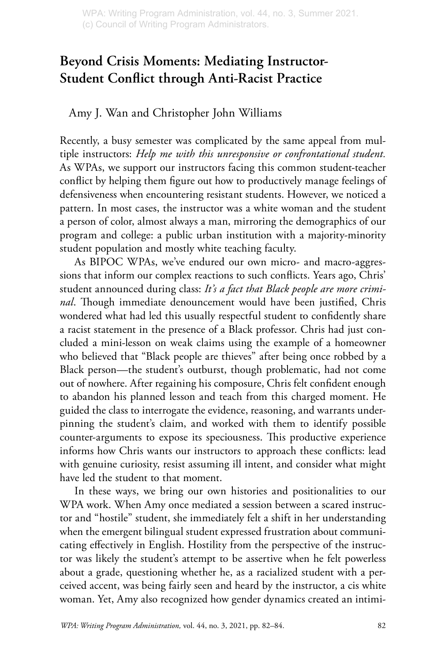## **Beyond Crisis Moments: Mediating Instructor-Student Conflict through Anti-Racist Practice**

## Amy J. Wan and Christopher John Williams

Recently, a busy semester was complicated by the same appeal from multiple instructors: *Help me with this unresponsive or confrontational student.*  As WPAs, we support our instructors facing this common student-teacher conflict by helping them figure out how to productively manage feelings of defensiveness when encountering resistant students. However, we noticed a pattern. In most cases, the instructor was a white woman and the student a person of color, almost always a man, mirroring the demographics of our program and college: a public urban institution with a majority-minority student population and mostly white teaching faculty.

As BIPOC WPAs, we've endured our own micro- and macro-aggressions that inform our complex reactions to such conflicts. Years ago, Chris' student announced during class: *It's a fact that Black people are more criminal*. Though immediate denouncement would have been justified, Chris wondered what had led this usually respectful student to confidently share a racist statement in the presence of a Black professor. Chris had just concluded a mini-lesson on weak claims using the example of a homeowner who believed that "Black people are thieves" after being once robbed by a Black person—the student's outburst, though problematic, had not come out of nowhere. After regaining his composure, Chris felt confident enough to abandon his planned lesson and teach from this charged moment. He guided the class to interrogate the evidence, reasoning, and warrants underpinning the student's claim, and worked with them to identify possible counter-arguments to expose its speciousness. This productive experience informs how Chris wants our instructors to approach these conflicts: lead with genuine curiosity, resist assuming ill intent, and consider what might have led the student to that moment.

In these ways, we bring our own histories and positionalities to our WPA work. When Amy once mediated a session between a scared instructor and "hostile" student, she immediately felt a shift in her understanding when the emergent bilingual student expressed frustration about communicating effectively in English. Hostility from the perspective of the instructor was likely the student's attempt to be assertive when he felt powerless about a grade, questioning whether he, as a racialized student with a perceived accent, was being fairly seen and heard by the instructor, a cis white woman. Yet, Amy also recognized how gender dynamics created an intimi-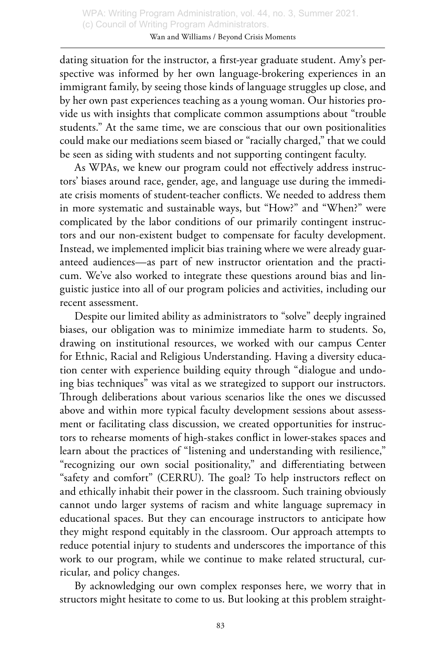## Wan and Williams / Beyond Crisis Moments

dating situation for the instructor, a first-year graduate student. Amy's perspective was informed by her own language-brokering experiences in an immigrant family, by seeing those kinds of language struggles up close, and by her own past experiences teaching as a young woman. Our histories provide us with insights that complicate common assumptions about "trouble students." At the same time, we are conscious that our own positionalities could make our mediations seem biased or "racially charged," that we could be seen as siding with students and not supporting contingent faculty.

As WPAs, we knew our program could not effectively address instructors' biases around race, gender, age, and language use during the immediate crisis moments of student-teacher conflicts. We needed to address them in more systematic and sustainable ways, but "How?" and "When?" were complicated by the labor conditions of our primarily contingent instructors and our non-existent budget to compensate for faculty development. Instead, we implemented implicit bias training where we were already guaranteed audiences—as part of new instructor orientation and the practicum. We've also worked to integrate these questions around bias and linguistic justice into all of our program policies and activities, including our recent assessment.

Despite our limited ability as administrators to "solve" deeply ingrained biases, our obligation was to minimize immediate harm to students. So, drawing on institutional resources, we worked with our campus Center for Ethnic, Racial and Religious Understanding. Having a diversity education center with experience building equity through "dialogue and undoing bias techniques" was vital as we strategized to support our instructors. Through deliberations about various scenarios like the ones we discussed above and within more typical faculty development sessions about assessment or facilitating class discussion, we created opportunities for instructors to rehearse moments of high-stakes conflict in lower-stakes spaces and learn about the practices of "listening and understanding with resilience," "recognizing our own social positionality," and differentiating between "safety and comfort" (CERRU). The goal? To help instructors reflect on and ethically inhabit their power in the classroom. Such training obviously cannot undo larger systems of racism and white language supremacy in educational spaces. But they can encourage instructors to anticipate how they might respond equitably in the classroom. Our approach attempts to reduce potential injury to students and underscores the importance of this work to our program, while we continue to make related structural, curricular, and policy changes.

By acknowledging our own complex responses here, we worry that in structors might hesitate to come to us. But looking at this problem straight